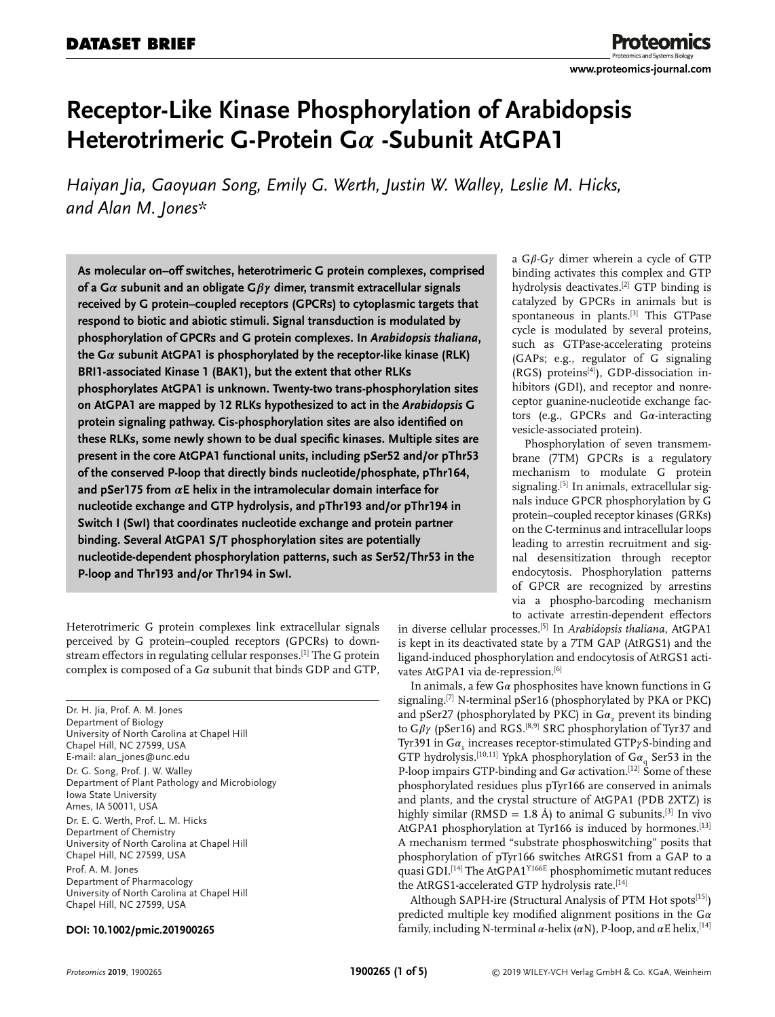# **Receptor-Like Kinase Phosphorylation of Arabidopsis Heterotrimeric G-Protein Gα -Subunit AtGPA1**

*Haiyan Jia, Gaoyuan Song, Emily G. Werth, Justin W. Walley, Leslie M. Hicks, and Alan M. Jones\**

**As molecular on–off switches, heterotrimeric G protein complexes, comprised** of a  $G\alpha$  subunit and an obligate  $G\beta\gamma$  dimer, transmit extracellular signals **received by G protein–coupled receptors (GPCRs) to cytoplasmic targets that respond to biotic and abiotic stimuli. Signal transduction is modulated by phosphorylation of GPCRs and G protein complexes. In** *Arabidopsis thaliana***,** the  $G\alpha$  subunit AtGPA1 is phosphorylated by the receptor-like kinase (RLK) **BRI1-associated Kinase 1 (BAK1), but the extent that other RLKs phosphorylates AtGPA1 is unknown. Twenty-two trans-phosphorylation sites on AtGPA1 are mapped by 12 RLKs hypothesized to act in the** *Arabidopsis* **G protein signaling pathway. Cis-phosphorylation sites are also identified on these RLKs, some newly shown to be dual specific kinases. Multiple sites are present in the core AtGPA1 functional units, including pSer52 and/or pThr53 of the conserved P-loop that directly binds nucleotide/phosphate, pThr164,** and pSer175 from  $\alpha$ E helix in the intramolecular domain interface for **nucleotide exchange and GTP hydrolysis, and pThr193 and/or pThr194 in Switch I (SwI) that coordinates nucleotide exchange and protein partner binding. Several AtGPA1 S/T phosphorylation sites are potentially nucleotide-dependent phosphorylation patterns, such as Ser52/Thr53 in the P-loop and Thr193 and/or Thr194 in SwI.**

Heterotrimeric G protein complexes link extracellular signals perceived by G protein–coupled receptors (GPCRs) to downstream effectors in regulating cellular responses.[1] The G protein complex is composed of a  $G\alpha$  subunit that binds GDP and GTP,

Dr. H. Jia, Prof. A. M. Jones Department of Biology University of North Carolina at Chapel Hill Chapel Hill, NC 27599, USA E-mail: [alan\\_jones@unc.edu](mailto:alan_jones@unc.edu) Dr. G. Song, Prof. J. W. Walley Department of Plant Pathology and Microbiology Iowa State University Ames, IA 50011, USA Dr. E. G. Werth, Prof. L. M. Hicks Department of Chemistry University of North Carolina at Chapel Hill Chapel Hill, NC 27599, USA Prof. A. M. Jones Department of Pharmacology University of North Carolina at Chapel Hill Chapel Hill, NC 27599, USA

#### **DOI: 10.1002/pmic.201900265**

a  $G\beta$ - $G\gamma$  dimer wherein a cycle of GTP binding activates this complex and GTP hydrolysis deactivates.<sup>[2]</sup> GTP binding is catalyzed by GPCRs in animals but is spontaneous in plants.[3] This GTPase cycle is modulated by several proteins, such as GTPase-accelerating proteins (GAPs; e.g., regulator of G signaling (RGS) proteins[4]), GDP-dissociation inhibitors (GDI), and receptor and nonreceptor guanine-nucleotide exchange factors (e.g., GPCRs and  $Ga$ -interacting vesicle-associated protein).

Phosphorylation of seven transmembrane (7TM) GPCRs is a regulatory mechanism to modulate G protein signaling.<sup>[5]</sup> In animals, extracellular signals induce GPCR phosphorylation by G protein–coupled receptor kinases (GRKs) on the C-terminus and intracellular loops leading to arrestin recruitment and signal desensitization through receptor endocytosis. Phosphorylation patterns of GPCR are recognized by arrestins via a phospho-barcoding mechanism to activate arrestin-dependent effectors

in diverse cellular processes.[5] In *Arabidopsis thaliana*, AtGPA1 is kept in its deactivated state by a 7TM GAP (AtRGS1) and the ligand-induced phosphorylation and endocytosis of AtRGS1 activates AtGPA1 via de-repression.<sup>[6]</sup>

In animals, a few  $G\alpha$  phosphosites have known functions in  $G$ signaling.<sup>[7]</sup> N-terminal pSer16 (phosphorylated by PKA or PKC) and pSer27 (phosphorylated by PKC) in  $Ga$ , prevent its binding to  $G\beta\gamma$  (pSer16) and RGS.<sup>[8,9]</sup> SRC phosphorylation of Tyr37 and Tyr391 in  $Ga_s$  increases receptor-stimulated GTP $\gamma$ S-binding and GTP hydrolysis.<sup>[10,11]</sup> YpkA phosphorylation of  $G\alpha_q$  Ser53 in the P-loop impairs GTP-binding and  $G\alpha$  activation.<sup>[12]</sup> Some of these phosphorylated residues plus pTyr166 are conserved in animals and plants, and the crystal structure of AtGPA1 (PDB 2XTZ) is highly similar (RMSD = 1.8 Å) to animal G subunits.<sup>[3]</sup> In vivo AtGPA1 phosphorylation at Tyr166 is induced by hormones.<sup>[13]</sup> A mechanism termed "substrate phosphoswitching" posits that phosphorylation of pTyr166 switches AtRGS1 from a GAP to a quasi GDI.<sup>[14]</sup> The AtGPA1<sup>Y166E</sup> phosphomimetic mutant reduces the AtRGS1-accelerated GTP hydrolysis rate.<sup>[14]</sup>

Although SAPH-ire (Structural Analysis of PTM Hot spots<sup>[15]</sup>) predicted multiple key modified alignment positions in the  $G\alpha$ family, including N-terminal  $\alpha$ -helix ( $\alpha$ N), P-loop, and  $\alpha$ E helix,<sup>[14]</sup>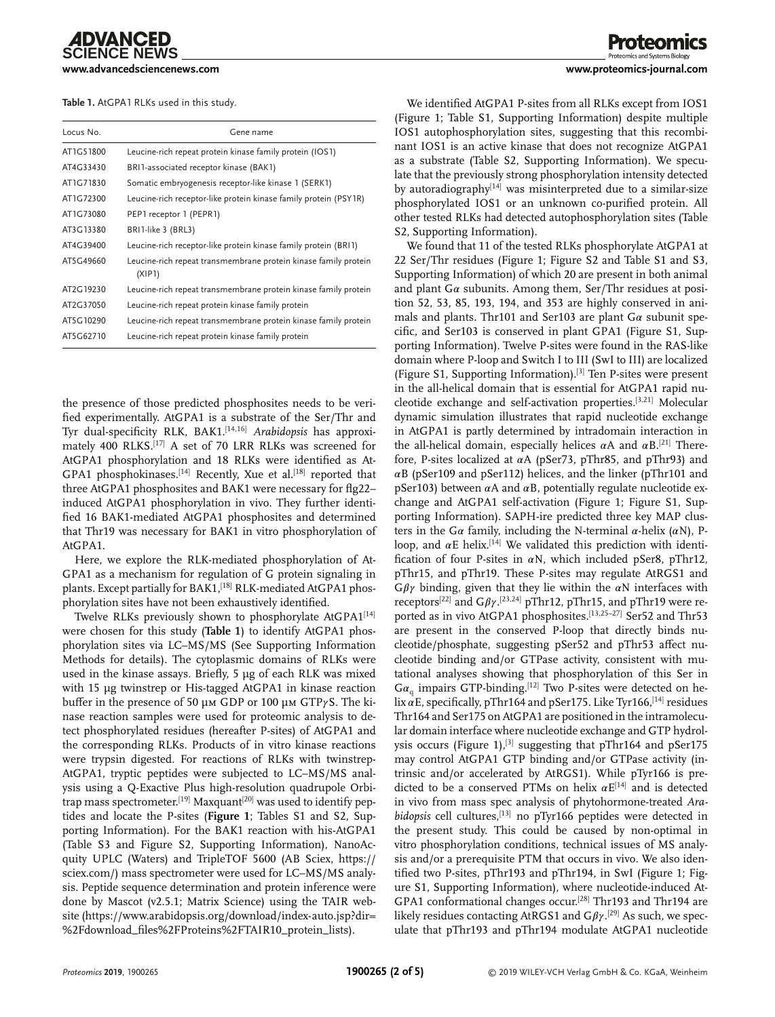**[www.advancedsciencenews.com](http://www.advancedsciencenews.com) [www.proteomics-journal.com](http://www.proteomics-journal.com)**

**Table 1.** AtGPA1 RLKs used in this study.

| Locus No. | Gene name                                                                 |
|-----------|---------------------------------------------------------------------------|
| AT1G51800 | Leucine-rich repeat protein kinase family protein (IOS1)                  |
| AT4G33430 | BRI1-associated receptor kinase (BAK1)                                    |
| AT1G71830 | Somatic embryogenesis receptor-like kinase 1 (SERK1)                      |
| AT1G72300 | Leucine-rich receptor-like protein kinase family protein (PSY1R)          |
| AT1G73080 | PEP1 receptor 1 (PEPR1)                                                   |
| AT3G13380 | BRI1-like 3 (BRL3)                                                        |
| AT4G39400 | Leucine-rich receptor-like protein kinase family protein (BRI1)           |
| AT5G49660 | Leucine-rich repeat transmembrane protein kinase family protein<br>(XIP1) |
| AT2G19230 | Leucine-rich repeat transmembrane protein kinase family protein           |
| AT2G37050 | Leucine-rich repeat protein kinase family protein                         |
| AT5G10290 | Leucine-rich repeat transmembrane protein kinase family protein           |
| AT5G62710 | Leucine-rich repeat protein kinase family protein                         |

the presence of those predicted phosphosites needs to be verified experimentally. AtGPA1 is a substrate of the Ser/Thr and Tyr dual-specificity RLK, BAK1.[14,16] *Arabidopsis* has approximately 400 RLKS.[17] A set of 70 LRR RLKs was screened for AtGPA1 phosphorylation and 18 RLKs were identified as At-GPA1 phosphokinases.<sup>[14]</sup> Recently, Xue et al.<sup>[18]</sup> reported that three AtGPA1 phosphosites and BAK1 were necessary for flg22– induced AtGPA1 phosphorylation in vivo. They further identified 16 BAK1-mediated AtGPA1 phosphosites and determined that Thr19 was necessary for BAK1 in vitro phosphorylation of AtGPA1.

Here, we explore the RLK-mediated phosphorylation of At-GPA1 as a mechanism for regulation of G protein signaling in plants. Except partially for BAK1,<sup>[18]</sup> RLK-mediated AtGPA1 phosphorylation sites have not been exhaustively identified.

Twelve RLKs previously shown to phosphorylate AtGPA1<sup>[14]</sup> were chosen for this study (**Table 1**) to identify AtGPA1 phosphorylation sites via LC–MS/MS (See Supporting Information Methods for details). The cytoplasmic domains of RLKs were used in the kinase assays. Briefly, 5 µg of each RLK was mixed with 15 µg twinstrep or His-tagged AtGPA1 in kinase reaction buffer in the presence of 50  $\mu$ m GDP or 100  $\mu$ m GTP $\gamma$ S. The kinase reaction samples were used for proteomic analysis to detect phosphorylated residues (hereafter P-sites) of AtGPA1 and the corresponding RLKs. Products of in vitro kinase reactions were trypsin digested. For reactions of RLKs with twinstrep-AtGPA1, tryptic peptides were subjected to LC–MS/MS analysis using a Q-Exactive Plus high-resolution quadrupole Orbitrap mass spectrometer.<sup>[19]</sup> Maxquant<sup>[20]</sup> was used to identify peptides and locate the P-sites (**Figure 1**; Tables S1 and S2, Supporting Information). For the BAK1 reaction with his-AtGPA1 (Table S3 and Figure S2, Supporting Information), NanoAcquity UPLC (Waters) and TripleTOF 5600 (AB Sciex, [https://](https://sciex.com/) [sciex.com/\)](https://sciex.com/) mass spectrometer were used for LC–MS/MS analysis. Peptide sequence determination and protein inference were done by Mascot (v2.5.1; Matrix Science) using the TAIR website [\(https://www.arabidopsis.org/download/index-auto.jsp?dir=](https://www.arabidopsis.org/download/index-auto.jsp?dir=%2Fdownload_files%2FProteins%2FTAIR10_protein_lists) [%2Fdownload\\_files%2FProteins%2FTAIR10\\_protein\\_lists\)](https://www.arabidopsis.org/download/index-auto.jsp?dir=%2Fdownload_files%2FProteins%2FTAIR10_protein_lists).

We identified AtGPA1 P-sites from all RLKs except from IOS1 (Figure 1; Table S1, Supporting Information) despite multiple IOS1 autophosphorylation sites, suggesting that this recombinant IOS1 is an active kinase that does not recognize AtGPA1 as a substrate (Table S2, Supporting Information). We speculate that the previously strong phosphorylation intensity detected by autoradiography<sup>[14]</sup> was misinterpreted due to a similar-size phosphorylated IOS1 or an unknown co-purified protein. All other tested RLKs had detected autophosphorylation sites (Table S2, Supporting Information).

We found that 11 of the tested RLKs phosphorylate AtGPA1 at 22 Ser/Thr residues (Figure 1; Figure S2 and Table S1 and S3, Supporting Information) of which 20 are present in both animal and plant  $G\alpha$  subunits. Among them, Ser/Thr residues at position 52, 53, 85, 193, 194, and 353 are highly conserved in animals and plants. Thr101 and Ser103 are plant  $Ga$  subunit specific, and Ser103 is conserved in plant GPA1 (Figure S1, Supporting Information). Twelve P-sites were found in the RAS-like domain where P-loop and Switch I to III (SwI to III) are localized (Figure S1, Supporting Information).[3] Ten P-sites were present in the all-helical domain that is essential for AtGPA1 rapid nucleotide exchange and self-activation properties.[3,21] Molecular dynamic simulation illustrates that rapid nucleotide exchange in AtGPA1 is partly determined by intradomain interaction in the all-helical domain, especially helices  $\alpha A$  and  $\alpha B$ .<sup>[21]</sup> Therefore, P-sites localized at  $\alpha A$  (pSer73, pThr85, and pThr93) and  $\alpha$ B (pSer109 and pSer112) helices, and the linker (pThr101 and pSer103) between  $\alpha$ A and  $\alpha$ B, potentially regulate nucleotide exchange and AtGPA1 self-activation (Figure 1; Figure S1, Supporting Information). SAPH-ire predicted three key MAP clusters in the G $\alpha$  family, including the N-terminal  $\alpha$ -helix ( $\alpha$ N), Ploop, and  $\alpha$ E helix.<sup>[14]</sup> We validated this prediction with identification of four P-sites in  $\alpha N$ , which included pSer8, pThr12, pThr15, and pThr19. These P-sites may regulate AtRGS1 and  $G \beta \gamma$  binding, given that they lie within the  $\alpha N$  interfaces with receptors<sup>[22]</sup> and  $G\beta\gamma$ .<sup>[23,24]</sup> pThr12, pThr15, and pThr19 were reported as in vivo AtGPA1 phosphosites.<sup>[13,25-27]</sup> Ser52 and Thr53 are present in the conserved P-loop that directly binds nucleotide/phosphate, suggesting pSer52 and pThr53 affect nucleotide binding and/or GTPase activity, consistent with mutational analyses showing that phosphorylation of this Ser in  $Ga<sub>a</sub>$  impairs GTP-binding.<sup>[12]</sup> Two P-sites were detected on helix  $\alpha$ E, specifically, pThr164 and pSer175. Like Tyr166,<sup>[14]</sup> residues Thr164 and Ser175 on AtGPA1 are positioned in the intramolecular domain interface where nucleotide exchange and GTP hydrolysis occurs (Figure 1),<sup>[3]</sup> suggesting that pThr164 and pSer175 may control AtGPA1 GTP binding and/or GTPase activity (intrinsic and/or accelerated by AtRGS1). While pTyr166 is predicted to be a conserved PTMs on helix  $\alpha$ E<sup>[14]</sup> and is detected in vivo from mass spec analysis of phytohormone-treated *Arabidopsis* cell cultures,[13] no pTyr166 peptides were detected in the present study. This could be caused by non-optimal in vitro phosphorylation conditions, technical issues of MS analysis and/or a prerequisite PTM that occurs in vivo. We also identified two P-sites, pThr193 and pThr194, in SwI (Figure 1; Figure S1, Supporting Information), where nucleotide-induced At-GPA1 conformational changes occur.[28] Thr193 and Thr194 are likely residues contacting AtRGS1 and  $G\beta\gamma$ .<sup>[29]</sup> As such, we speculate that pThr193 and pThr194 modulate AtGPA1 nucleotide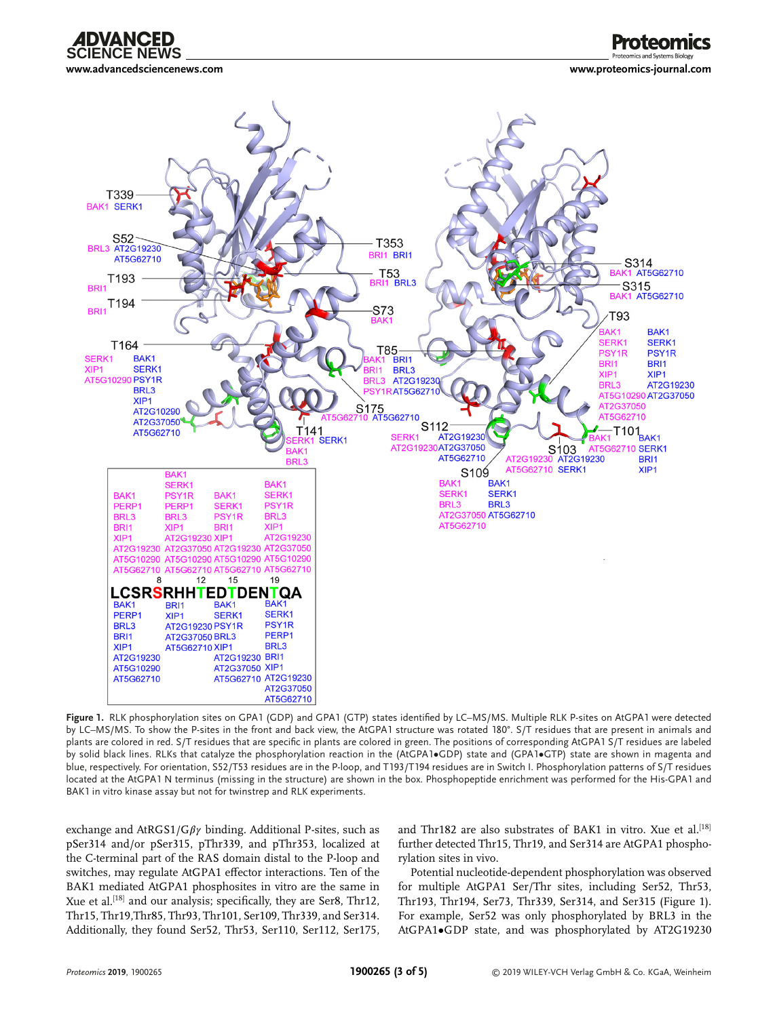

**[www.advancedsciencenews.com](http://www.advancedsciencenews.com) [www.proteomics-journal.com](http://www.proteomics-journal.com)**



**Figure 1.** RLK phosphorylation sites on GPA1 (GDP) and GPA1 (GTP) states identified by LC–MS/MS. Multiple RLK P-sites on AtGPA1 were detected by LC–MS/MS. To show the P-sites in the front and back view, the AtGPA1 structure was rotated 180°. S/T residues that are present in animals and plants are colored in red. S/T residues that are specific in plants are colored in green. The positions of corresponding AtGPA1 S/T residues are labeled by solid black lines. RLKs that catalyze the phosphorylation reaction in the (AtGPA1•GDP) state and (GPA1•GTP) state are shown in magenta and blue, respectively. For orientation, S52/T53 residues are in the P-loop, and T193/T194 residues are in Switch I. Phosphorylation patterns of S/T residues located at the AtGPA1 N terminus (missing in the structure) are shown in the box. Phosphopeptide enrichment was performed for the His-GPA1 and BAK1 in vitro kinase assay but not for twinstrep and RLK experiments.

exchange and AtRGS1/G $\beta\gamma$  binding. Additional P-sites, such as pSer314 and/or pSer315, pThr339, and pThr353, localized at the C-terminal part of the RAS domain distal to the P-loop and switches, may regulate AtGPA1 effector interactions. Ten of the BAK1 mediated AtGPA1 phosphosites in vitro are the same in Xue et al.<sup>[18]</sup> and our analysis; specifically, they are Ser8, Thr12, Thr15, Thr19,Thr85, Thr93, Thr101, Ser109, Thr339, and Ser314. Additionally, they found Ser52, Thr53, Ser110, Ser112, Ser175, and Thr182 are also substrates of BAK1 in vitro. Xue et al.<sup>[18]</sup> further detected Thr15, Thr19, and Ser314 are AtGPA1 phosphorylation sites in vivo.

Potential nucleotide-dependent phosphorylation was observed for multiple AtGPA1 Ser/Thr sites, including Ser52, Thr53, Thr193, Thr194, Ser73, Thr339, Ser314, and Ser315 (Figure 1). For example, Ser52 was only phosphorylated by BRL3 in the AtGPA1•GDP state, and was phosphorylated by AT2G19230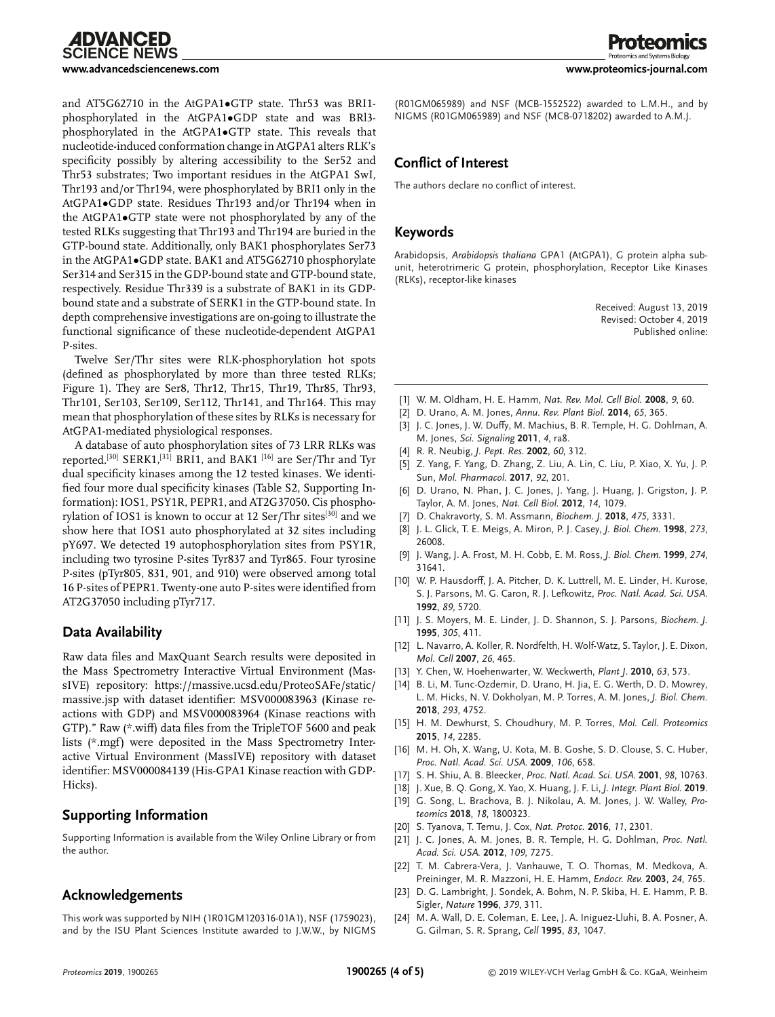

and AT5G62710 in the AtGPA1•GTP state. Thr53 was BRI1 phosphorylated in the AtGPA1•GDP state and was BRl3 phosphorylated in the AtGPA1•GTP state. This reveals that nucleotide-induced conformation change in AtGPA1 alters RLK's specificity possibly by altering accessibility to the Ser52 and Thr53 substrates; Two important residues in the AtGPA1 SwI, Thr193 and/or Thr194, were phosphorylated by BRI1 only in the AtGPA1•GDP state. Residues Thr193 and/or Thr194 when in the AtGPA1•GTP state were not phosphorylated by any of the tested RLKs suggesting that Thr193 and Thr194 are buried in the GTP-bound state. Additionally, only BAK1 phosphorylates Ser73 in the AtGPA1•GDP state. BAK1 and AT5G62710 phosphorylate Ser314 and Ser315 in the GDP-bound state and GTP-bound state, respectively. Residue Thr339 is a substrate of BAK1 in its GDPbound state and a substrate of SERK1 in the GTP-bound state. In depth comprehensive investigations are on-going to illustrate the functional significance of these nucleotide-dependent AtGPA1 P-sites.

Twelve Ser/Thr sites were RLK-phosphorylation hot spots (defined as phosphorylated by more than three tested RLKs; Figure 1). They are Ser8, Thr12, Thr15, Thr19, Thr85, Thr93, Thr101, Ser103, Ser109, Ser112, Thr141, and Thr164. This may mean that phosphorylation of these sites by RLKs is necessary for AtGPA1-mediated physiological responses.

A database of auto phosphorylation sites of 73 LRR RLKs was reported.[30] SERK1,[31] BRI1, and BAK1 [16] are Ser/Thr and Tyr dual specificity kinases among the 12 tested kinases. We identified four more dual specificity kinases (Table S2, Supporting Information): IOS1, PSY1R, PEPR1, and AT2G37050. Cis phosphorylation of IOS1 is known to occur at 12 Ser/Thr sites<sup>[30]</sup> and we show here that IOS1 auto phosphorylated at 32 sites including pY697. We detected 19 autophosphorylation sites from PSY1R, including two tyrosine P-sites Tyr837 and Tyr865. Four tyrosine P-sites (pTyr805, 831, 901, and 910) were observed among total 16 P-sites of PEPR1. Twenty-one auto P-sites were identified from AT2G37050 including pTyr717.

#### **Data Availability**

Raw data files and MaxQuant Search results were deposited in the Mass Spectrometry Interactive Virtual Environment (MassIVE) repository: [https://massive.ucsd.edu/ProteoSAFe/static/](https://massive.ucsd.edu/ProteoSAFe/static/massive.jsp) [massive.jsp](https://massive.ucsd.edu/ProteoSAFe/static/massive.jsp) with dataset identifier: MSV000083963 (Kinase reactions with GDP) and MSV000083964 (Kinase reactions with GTP)." Raw (\*.wiff) data files from the TripleTOF 5600 and peak lists ( $*$ .mgf) were deposited in the Mass Spectrometry Interactive Virtual Environment (MassIVE) repository with dataset identifier: MSV000084139 (His-GPA1 Kinase reaction with GDP-Hicks).

# **Supporting Information**

Supporting Information is available from the Wiley Online Library or from the author.

### **Acknowledgements**

This work was supported by NIH (1R01GM120316-01A1), NSF (1759023), and by the ISU Plant Sciences Institute awarded to J.W.W., by NIGMS

(R01GM065989) and NSF (MCB-1552522) awarded to L.M.H., and by NIGMS (R01GM065989) and NSF (MCB-0718202) awarded to A.M.J.

## **Conflict of Interest**

The authors declare no conflict of interest.

### **Keywords**

Arabidopsis, *Arabidopsis thaliana* GPA1 (AtGPA1), G protein alpha subunit, heterotrimeric G protein, phosphorylation, Receptor Like Kinases (RLKs), receptor-like kinases

> Received: August 13, 2019 Revised: October 4, 2019 Published online:

- [1] W. M. Oldham, H. E. Hamm, *Nat. Rev. Mol. Cell Biol.* **2008**, *9*, 60.
- [2] D. Urano, A. M. Jones, *Annu. Rev. Plant Biol.* **2014**, *65*, 365.
- [3] J. C. Jones, J. W. Duffy, M. Machius, B. R. Temple, H. G. Dohlman, A. M. Jones, *Sci. Signaling* **2011**, *4*, ra8.
- [4] R. R. Neubig, *J. Pept. Res.* **2002**, *60*, 312.
- [5] Z. Yang, F. Yang, D. Zhang, Z. Liu, A. Lin, C. Liu, P. Xiao, X. Yu, J. P. Sun, *Mol. Pharmacol.* **2017**, *92*, 201.
- [6] D. Urano, N. Phan, J. C. Jones, J. Yang, J. Huang, J. Grigston, J. P. Taylor, A. M. Jones, *Nat. Cell Biol.* **2012**, *14*, 1079.
- [7] D. Chakravorty, S. M. Assmann, *Biochem. J.* **2018**, *475*, 3331.
- [8] J. L. Glick, T. E. Meigs, A. Miron, P. J. Casey, *J. Biol. Chem.* **1998**, *273*, 26008.
- [9] J. Wang, J. A. Frost, M. H. Cobb, E. M. Ross, *J. Biol. Chem.* **1999**, *274*, 31641.
- [10] W. P. Hausdorff, J. A. Pitcher, D. K. Luttrell, M. E. Linder, H. Kurose, S. J. Parsons, M. G. Caron, R. J. Lefkowitz, *Proc. Natl. Acad. Sci. USA*. **1992**, *89*, 5720.
- [11] J. S. Moyers, M. E. Linder, J. D. Shannon, S. J. Parsons, *Biochem. J.* **1995**, *305*, 411.
- [12] L. Navarro, A. Koller, R. Nordfelth, H. Wolf-Watz, S. Taylor, J. E. Dixon, *Mol. Cell* **2007**, *26*, 465.
- [13] Y. Chen, W. Hoehenwarter, W. Weckwerth, *Plant J*. **2010**, *63*, 573.
- [14] B. Li, M. Tunc-Ozdemir, D. Urano, H. Jia, E. G. Werth, D. D. Mowrey, L. M. Hicks, N. V. Dokholyan, M. P. Torres, A. M. Jones, *J. Biol. Chem.* **2018**, *293*, 4752.
- [15] H. M. Dewhurst, S. Choudhury, M. P. Torres, *Mol. Cell. Proteomics* **2015**, *14*, 2285.
- [16] M. H. Oh, X. Wang, U. Kota, M. B. Goshe, S. D. Clouse, S. C. Huber, *Proc. Natl. Acad. Sci. USA.* **2009**, *106*, 658.
- [17] S. H. Shiu, A. B. Bleecker, *Proc. Natl. Acad. Sci. USA.* **2001**, *98*, 10763.
- [18] J. Xue, B. Q. Gong, X. Yao, X. Huang, J. F. Li, *J. Integr. Plant Biol.* **2019**.
- [19] G. Song, L. Brachova, B. J. Nikolau, A. M. Jones, J. W. Walley, *Proteomics* **2018**, *18*, 1800323.
- [20] S. Tyanova, T. Temu, J. Cox, *Nat. Protoc.* **2016**, *11*, 2301.
- [21] J. C. Jones, A. M. Jones, B. R. Temple, H. G. Dohlman, *Proc. Natl. Acad. Sci. USA.* **2012**, *109*, 7275.
- [22] T. M. Cabrera-Vera, J. Vanhauwe, T. O. Thomas, M. Medkova, A. Preininger, M. R. Mazzoni, H. E. Hamm, *Endocr. Rev.* **2003**, *24*, 765.
- [23] D. G. Lambright, J. Sondek, A. Bohm, N. P. Skiba, H. E. Hamm, P. B. Sigler, *Nature* **1996**, *379*, 311.
- [24] M. A. Wall, D. E. Coleman, E. Lee, J. A. Iniguez-Lluhi, B. A. Posner, A. G. Gilman, S. R. Sprang, *Cell* **1995**, *83*, 1047.